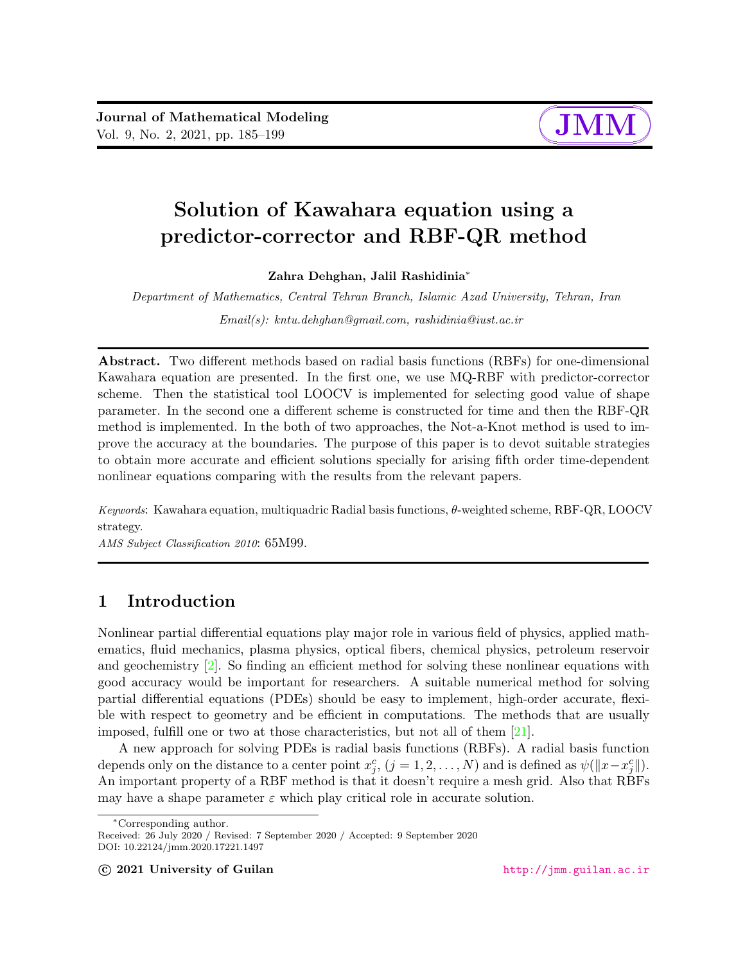

# Solution of Kawahara equation using a predictor-corrector and RBF-QR method

Zahra Dehghan, Jalil Rashidinia<sup>∗</sup>

Department of Mathematics, Central Tehran Branch, Islamic Azad University, Tehran, Iran

Email(s): kntu.dehghan@gmail.com, rashidinia@iust.ac.ir

Abstract. Two different methods based on radial basis functions (RBFs) for one-dimensional Kawahara equation are presented. In the first one, we use MQ-RBF with predictor-corrector scheme. Then the statistical tool LOOCV is implemented for selecting good value of shape parameter. In the second one a different scheme is constructed for time and then the RBF-QR method is implemented. In the both of two approaches, the Not-a-Knot method is used to improve the accuracy at the boundaries. The purpose of this paper is to devot suitable strategies to obtain more accurate and efficient solutions specially for arising fifth order time-dependent nonlinear equations comparing with the results from the relevant papers.

Keywords: Kawahara equation, multiquadric Radial basis functions,  $\theta$ -weighted scheme, RBF-QR, LOOCV strategy.

AMS Subject Classification 2010: 65M99.

# 1 Introduction

Nonlinear partial differential equations play major role in various field of physics, applied mathematics, fluid mechanics, plasma physics, optical fibers, chemical physics, petroleum reservoir and geochemistry  $[2]$ . So finding an efficient method for solving these nonlinear equations with good accuracy would be important for researchers. A suitable numerical method for solving partial differential equations (PDEs) should be easy to implement, high-order accurate, flexible with respect to geometry and be efficient in computations. The methods that are usually imposed, fulfill one or two at those characteristics, but not all of them [\[21\]](#page-13-0).

A new approach for solving PDEs is radial basis functions (RBFs). A radial basis function depends only on the distance to a center point  $x_j^c$ ,  $(j = 1, 2, ..., N)$  and is defined as  $\psi(||x - x_j^c||)$ . An important property of a RBF method is that it doesn't require a mesh grid. Also that RBFs may have a shape parameter  $\varepsilon$  which play critical role in accurate solution.

<sup>∗</sup>Corresponding author.

Received: 26 July 2020 / Revised: 7 September 2020 / Accepted: 9 September 2020 DOI: 10.22124/jmm.2020.17221.1497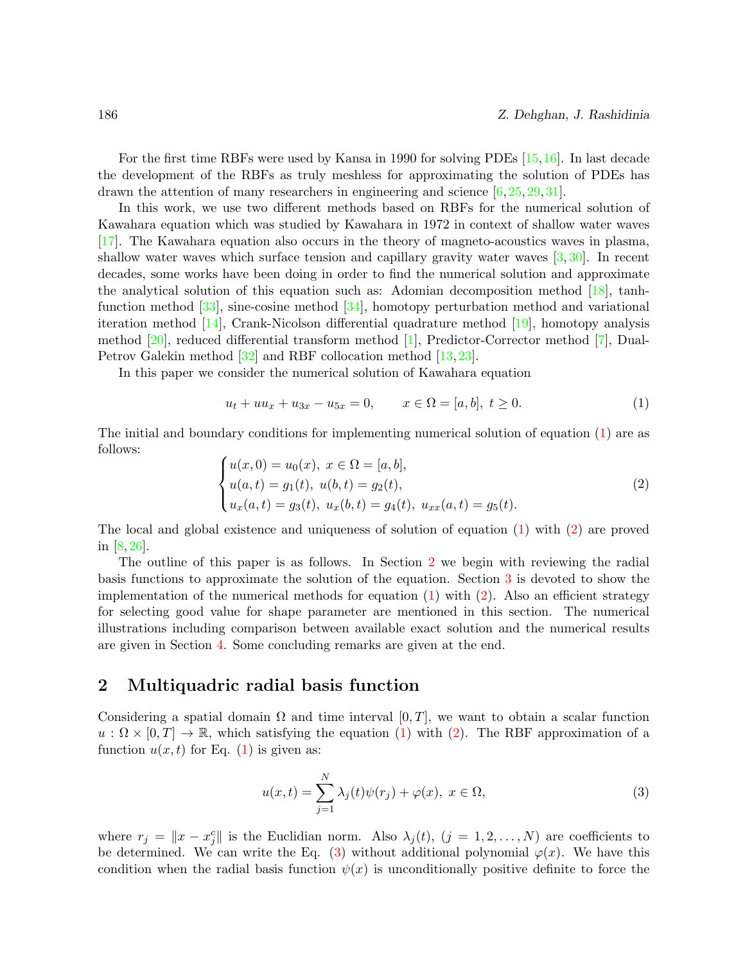For the first time RBFs were used by Kansa in 1990 for solving PDEs [\[15,](#page-13-1)[16\]](#page-13-2). In last decade the development of the RBFs as truly meshless for approximating the solution of PDEs has drawn the attention of many researchers in engineering and science [\[6,](#page-13-3) [25,](#page-14-0) [29,](#page-14-1) [31\]](#page-14-2).

In this work, we use two different methods based on RBFs for the numerical solution of Kawahara equation which was studied by Kawahara in 1972 in context of shallow water waves [\[17\]](#page-13-4). The Kawahara equation also occurs in the theory of magneto-acoustics waves in plasma, shallow water waves which surface tension and capillary gravity water waves [\[3,](#page-12-1) [30\]](#page-14-3). In recent decades, some works have been doing in order to find the numerical solution and approximate the analytical solution of this equation such as: Adomian decomposition method [\[18\]](#page-13-5), tanhfunction method [\[33\]](#page-14-4), sine-cosine method [\[34\]](#page-14-5), homotopy perturbation method and variational iteration method [\[14\]](#page-13-6), Crank-Nicolson differential quadrature method [\[19\]](#page-13-7), homotopy analysis method [\[20\]](#page-13-8), reduced differential transform method [\[1\]](#page-12-2), Predictor-Corrector method [\[7\]](#page-13-9), Dual-Petrov Galekin method [\[32\]](#page-14-6) and RBF collocation method [\[13,](#page-13-10) [23\]](#page-14-7).

In this paper we consider the numerical solution of Kawahara equation

<span id="page-1-0"></span>
$$
u_t + uu_x + u_{3x} - u_{5x} = 0, \qquad x \in \Omega = [a, b], \ t \ge 0. \tag{1}
$$

The initial and boundary conditions for implementing numerical solution of equation [\(1\)](#page-1-0) are as follows:

<span id="page-1-1"></span>
$$
\begin{cases}\n u(x,0) = u_0(x), \ x \in \Omega = [a,b], \\
 u(a,t) = g_1(t), \ u(b,t) = g_2(t), \\
 u_x(a,t) = g_3(t), \ u_x(b,t) = g_4(t), \ u_{xx}(a,t) = g_5(t).\n\end{cases}
$$
\n(2)

The local and global existence and uniqueness of solution of equation [\(1\)](#page-1-0) with [\(2\)](#page-1-1) are proved in [\[8,](#page-13-11) [26\]](#page-14-8).

The outline of this paper is as follows. In Section [2](#page-1-2) we begin with reviewing the radial basis functions to approximate the solution of the equation. Section [3](#page-2-0) is devoted to show the implementation of the numerical methods for equation  $(1)$  with  $(2)$ . Also an efficient strategy for selecting good value for shape parameter are mentioned in this section. The numerical illustrations including comparison between available exact solution and the numerical results are given in Section [4.](#page-7-0) Some concluding remarks are given at the end.

## <span id="page-1-2"></span>2 Multiquadric radial basis function

Considering a spatial domain  $\Omega$  and time interval  $[0, T]$ , we want to obtain a scalar function  $u : \Omega \times [0,T] \to \mathbb{R}$ , which satisfying the equation [\(1\)](#page-1-0) with [\(2\)](#page-1-1). The RBF approximation of a function  $u(x, t)$  for Eq. [\(1\)](#page-1-0) is given as:

<span id="page-1-3"></span>
$$
u(x,t) = \sum_{j=1}^{N} \lambda_j(t)\psi(r_j) + \varphi(x), \ x \in \Omega,
$$
\n(3)

where  $r_j = ||x - x_j^c||$  is the Euclidian norm. Also  $\lambda_j(t)$ ,  $(j = 1, 2, ..., N)$  are coefficients to be determined. We can write the Eq. [\(3\)](#page-1-3) without additional polynomial  $\varphi(x)$ . We have this condition when the radial basis function  $\psi(x)$  is unconditionally positive definite to force the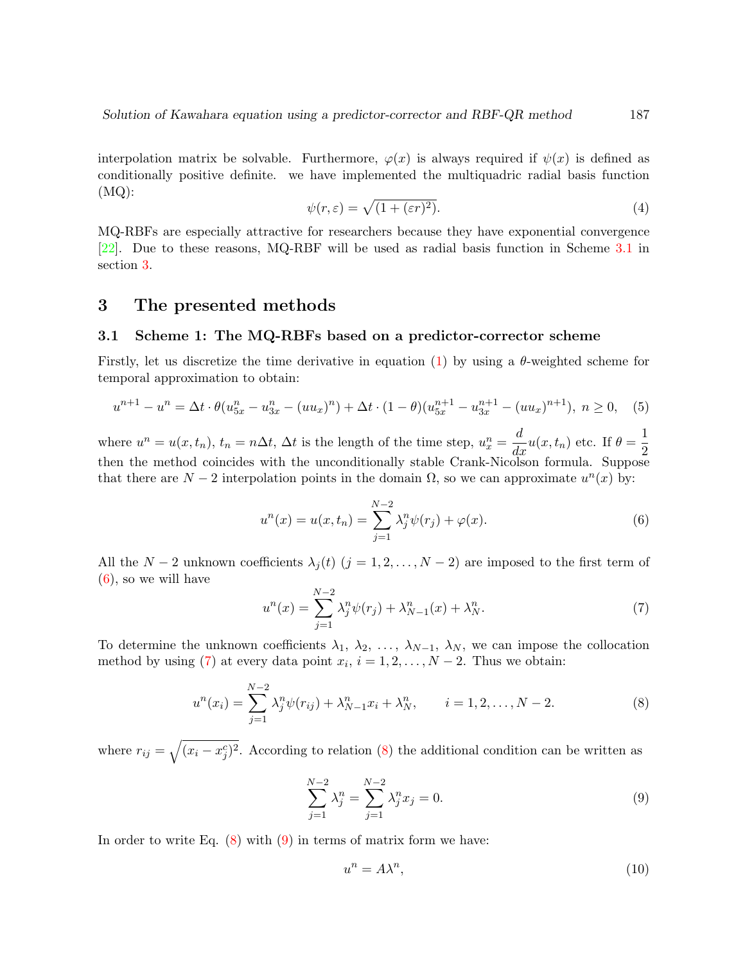interpolation matrix be solvable. Furthermore,  $\varphi(x)$  is always required if  $\psi(x)$  is defined as conditionally positive definite. we have implemented the multiquadric radial basis function  $(MQ):$ 

$$
\psi(r,\varepsilon) = \sqrt{(1+(\varepsilon r)^2)}.
$$
\n(4)

MQ-RBFs are especially attractive for researchers because they have exponential convergence [\[22\]](#page-13-12). Due to these reasons, MQ-RBF will be used as radial basis function in Scheme [3.1](#page-2-1) in section [3.](#page-2-0)

## <span id="page-2-0"></span>3 The presented methods

#### <span id="page-2-1"></span>3.1 Scheme 1: The MQ-RBFs based on a predictor-corrector scheme

Firstly, let us discretize the time derivative in equation [\(1\)](#page-1-0) by using a  $\theta$ -weighted scheme for temporal approximation to obtain:

<span id="page-2-6"></span>
$$
u^{n+1} - u^n = \Delta t \cdot \theta (u_{5x}^n - u_{3x}^n - (uu_x)^n) + \Delta t \cdot (1 - \theta) (u_{5x}^{n+1} - u_{3x}^{n+1} - (uu_x)^{n+1}), \ n \ge 0, \quad (5)
$$

where  $u^n = u(x, t_n)$ ,  $t_n = n\Delta t$ ,  $\Delta t$  is the length of the time step,  $u_x^n = \frac{d}{dx}u(x, t_n)$  etc. If  $\theta = \frac{1}{2}$ 2 then the method coincides with the unconditionally stable Crank-Nicolson formula. Suppose that there are  $N-2$  interpolation points in the domain  $\Omega$ , so we can approximate  $u^{n}(x)$  by:

<span id="page-2-2"></span>
$$
u^{n}(x) = u(x, t_{n}) = \sum_{j=1}^{N-2} \lambda_{j}^{n} \psi(r_{j}) + \varphi(x).
$$
 (6)

All the  $N-2$  unknown coefficients  $\lambda_i(t)$   $(j = 1, 2, ..., N-2)$  are imposed to the first term of [\(6\)](#page-2-2), so we will have

<span id="page-2-3"></span>
$$
u^{n}(x) = \sum_{j=1}^{N-2} \lambda_{j}^{n} \psi(r_{j}) + \lambda_{N-1}^{n}(x) + \lambda_{N}^{n}.
$$
 (7)

To determine the unknown coefficients  $\lambda_1, \lambda_2, \ldots, \lambda_{N-1}, \lambda_N$ , we can impose the collocation method by using [\(7\)](#page-2-3) at every data point  $x_i$ ,  $i = 1, 2, ..., N - 2$ . Thus we obtain:

<span id="page-2-4"></span>
$$
u^{n}(x_{i}) = \sum_{j=1}^{N-2} \lambda_{j}^{n} \psi(r_{ij}) + \lambda_{N-1}^{n} x_{i} + \lambda_{N}^{n}, \qquad i = 1, 2, ..., N-2.
$$
 (8)

where  $r_{ij} = \sqrt{(x_i - x_j^c)^2}$ . According to relation [\(8\)](#page-2-4) the additional condition can be written as

<span id="page-2-5"></span>
$$
\sum_{j=1}^{N-2} \lambda_j^n = \sum_{j=1}^{N-2} \lambda_j^n x_j = 0.
$$
\n(9)

In order to write Eq.  $(8)$  with  $(9)$  in terms of matrix form we have:

<span id="page-2-7"></span>
$$
u^n = A\lambda^n,\tag{10}
$$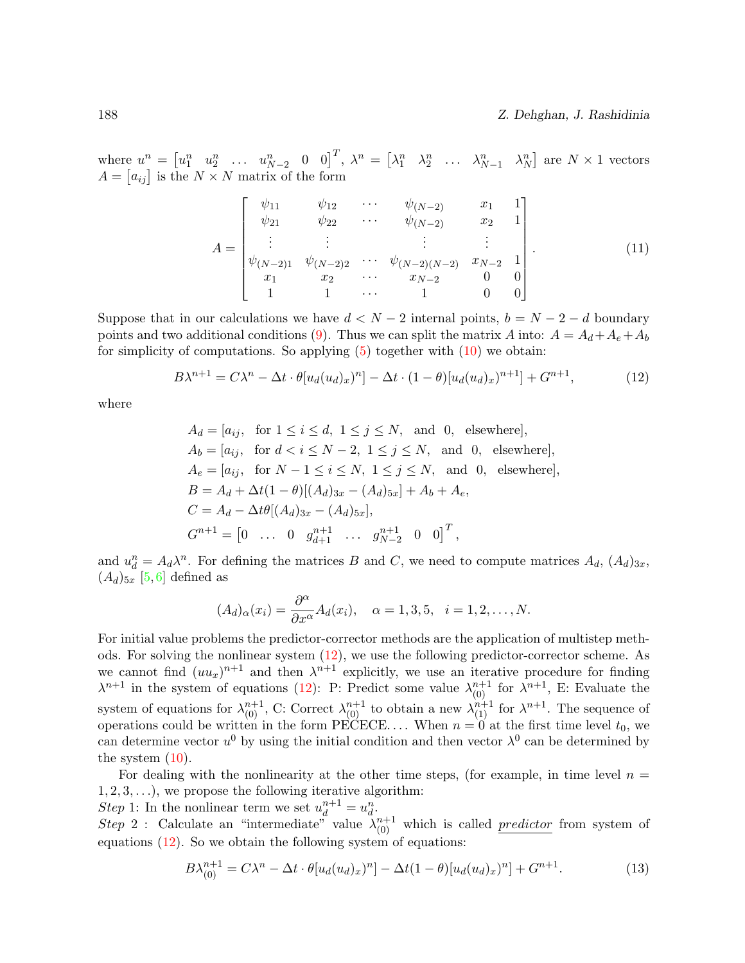where  $u^n = \begin{bmatrix} u_1^n & u_2^n & \dots & u_{N-2}^n & 0 & 0 \end{bmatrix}^T$ ,  $\lambda^n = \begin{bmatrix} \lambda_1^n & \lambda_2^n & \dots & \lambda_{N-1}^n & \lambda_N^n \end{bmatrix}$  are  $N \times 1$  vectors  $A = [a_{ij}]$  is the  $N \times N$  matrix of the form

$$
A = \begin{bmatrix} \psi_{11} & \psi_{12} & \cdots & \psi_{(N-2)} & x_1 & 1 \\ \psi_{21} & \psi_{22} & \cdots & \psi_{(N-2)} & x_2 & 1 \\ \vdots & \vdots & \ddots & \vdots & \vdots \\ \psi_{(N-2)1} & \psi_{(N-2)2} & \cdots & \psi_{(N-2)(N-2)} & x_{N-2} & 1 \\ x_1 & x_2 & \cdots & x_{N-2} & 0 & 0 \\ 1 & 1 & \cdots & 1 & 0 & 0 \end{bmatrix} .
$$
 (11)

Suppose that in our calculations we have  $d < N - 2$  internal points,  $b = N - 2 - d$  boundary points and two additional conditions [\(9\)](#page-2-5). Thus we can split the matrix A into:  $A = A_d + A_e + A_b$ for simplicity of computations. So applying  $(5)$  together with  $(10)$  we obtain:

<span id="page-3-0"></span>
$$
B\lambda^{n+1} = C\lambda^n - \Delta t \cdot \theta[u_d(u_d)_x)^n] - \Delta t \cdot (1-\theta)[u_d(u_d)_x)^{n+1}] + G^{n+1},\tag{12}
$$

where

$$
A_d = [a_{ij}, \text{ for } 1 \le i \le d, 1 \le j \le N, \text{ and } 0, \text{ elsewhere}],
$$
  
\n
$$
A_b = [a_{ij}, \text{ for } d < i \le N - 2, 1 \le j \le N, \text{ and } 0, \text{ elsewhere}],
$$
  
\n
$$
A_e = [a_{ij}, \text{ for } N - 1 \le i \le N, 1 \le j \le N, \text{ and } 0, \text{ elsewhere}],
$$
  
\n
$$
B = A_d + \Delta t (1 - \theta) [(A_d)_{3x} - (A_d)_{5x}] + A_b + A_e,
$$
  
\n
$$
C = A_d - \Delta t \theta [(A_d)_{3x} - (A_d)_{5x}],
$$
  
\n
$$
G^{n+1} = [0 \dots 0 \quad g_{d+1}^{n+1} \dots g_{N-2}^{n+1} \quad 0 \quad 0]^T,
$$

and  $u_d^n = A_d \lambda^n$ . For defining the matrices B and C, we need to compute matrices  $A_d$ ,  $(A_d)_{3x}$ ,  $(A_d)_{5x}$  [\[5,](#page-12-3)[6\]](#page-13-3) defined as

$$
(A_d)_{\alpha}(x_i) = \frac{\partial^{\alpha}}{\partial x^{\alpha}} A_d(x_i), \quad \alpha = 1, 3, 5, \quad i = 1, 2, \dots, N.
$$

For initial value problems the predictor-corrector methods are the application of multistep methods. For solving the nonlinear system [\(12\)](#page-3-0), we use the following predictor-corrector scheme. As we cannot find  $(uu_x)^{n+1}$  and then  $\lambda^{n+1}$  explicitly, we use an iterative procedure for finding  $\lambda^{n+1}$  in the system of equations [\(12\)](#page-3-0): P: Predict some value  $\lambda_{(0)}^{n+1}$  for  $\lambda^{n+1}$ , E: Evaluate the system of equations for  $\lambda_{(0)}^{n+1}$ , C: Correct  $\lambda_{(0)}^{n+1}$  to obtain a new  $\lambda_{(1)}^{n+1}$  for  $\lambda^{n+1}$ . The sequence of operations could be written in the form PECECE.... When  $n = 0$  at the first time level  $t_0$ , we can determine vector  $u^0$  by using the initial condition and then vector  $\lambda^0$  can be determined by the system  $(10)$ .

For dealing with the nonlinearity at the other time steps, (for example, in time level  $n =$  $1, 2, 3, \ldots$ , we propose the following iterative algorithm:

Step 1: In the nonlinear term we set  $u_d^{n+1} = u_d^n$ .

Step 2: Calculate an "intermediate" value  $\lambda_{(0)}^{n+1}$  which is called *predictor* from system of equations  $(12)$ . So we obtain the following system of equations:

$$
B\lambda_{(0)}^{n+1} = C\lambda^n - \Delta t \cdot \theta[u_d(u_d)_x)^n] - \Delta t (1-\theta)[u_d(u_d)_x)^n] + G^{n+1}.
$$
 (13)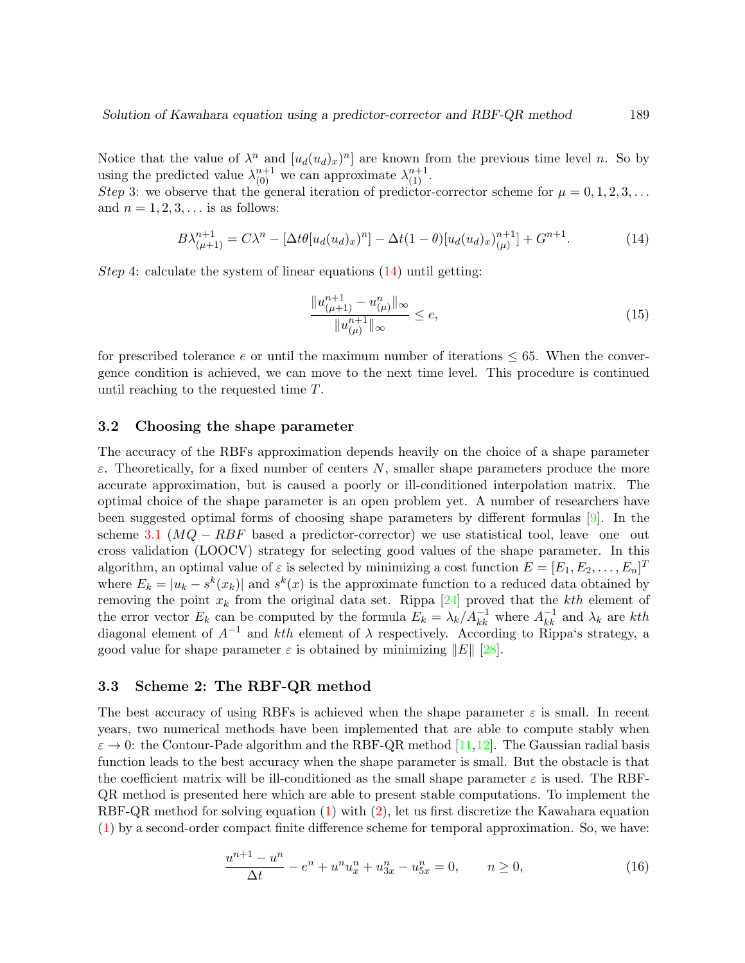Notice that the value of  $\lambda^n$  and  $[u_d(u_d)_x)^n]$  are known from the previous time level n. So by using the predicted value  $\lambda_{(0)}^{n+1}$  we can approximate  $\lambda_{(1)}^{n+1}$ .

Step 3: we observe that the general iteration of predictor-corrector scheme for  $\mu = 0, 1, 2, 3, \ldots$ and  $n = 1, 2, 3, \ldots$  is as follows:

<span id="page-4-0"></span>
$$
B\lambda_{(\mu+1)}^{n+1} = C\lambda^n - [\Delta t \theta [u_d(u_d)_x)^n] - \Delta t (1-\theta) [u_d(u_d)_x)^{n+1}_{(\mu)} + G^{n+1}.
$$
 (14)

Step 4: calculate the system of linear equations  $(14)$  until getting:

$$
\frac{\|u_{(\mu+1)}^{n+1} - u_{(\mu)}^n\|_{\infty}}{\|u_{(\mu)}^{n+1}\|_{\infty}} \le e,\tag{15}
$$

for prescribed tolerance e or until the maximum number of iterations  $\leq 65$ . When the convergence condition is achieved, we can move to the next time level. This procedure is continued until reaching to the requested time T.

#### 3.2 Choosing the shape parameter

The accuracy of the RBFs approximation depends heavily on the choice of a shape parameter  $\varepsilon$ . Theoretically, for a fixed number of centers N, smaller shape parameters produce the more accurate approximation, but is caused a poorly or ill-conditioned interpolation matrix. The optimal choice of the shape parameter is an open problem yet. A number of researchers have been suggested optimal forms of choosing shape parameters by different formulas [\[9\]](#page-13-13). In the scheme [3.1](#page-2-1) ( $MQ - RBF$  based a predictor-corrector) we use statistical tool, leave one out cross validation (LOOCV) strategy for selecting good values of the shape parameter. In this algorithm, an optimal value of  $\varepsilon$  is selected by minimizing a cost function  $E = [E_1, E_2, \dots, E_n]^T$ where  $E_k = |u_k - s^k(x_k)|$  and  $s^k(x)$  is the approximate function to a reduced data obtained by removing the point  $x_k$  from the original data set. Rippa [\[24\]](#page-14-9) proved that the kth element of the error vector  $E_k$  can be computed by the formula  $E_k = \lambda_k / A_{kk}^{-1}$  where  $A_{kk}^{-1}$  and  $\lambda_k$  are kth diagonal element of  $A^{-1}$  and kth element of  $\lambda$  respectively. According to Rippa's strategy, a good value for shape parameter  $\varepsilon$  is obtained by minimizing  $||E||$  [\[28\]](#page-14-10).

#### <span id="page-4-2"></span>3.3 Scheme 2: The RBF-QR method

The best accuracy of using RBFs is achieved when the shape parameter  $\varepsilon$  is small. In recent years, two numerical methods have been implemented that are able to compute stably when  $\varepsilon \to 0$ : the Contour-Pade algorithm and the RBF-QR method [\[11,](#page-13-14)[12\]](#page-13-15). The Gaussian radial basis function leads to the best accuracy when the shape parameter is small. But the obstacle is that the coefficient matrix will be ill-conditioned as the small shape parameter  $\varepsilon$  is used. The RBF-QR method is presented here which are able to present stable computations. To implement the RBF-QR method for solving equation [\(1\)](#page-1-0) with [\(2\)](#page-1-1), let us first discretize the Kawahara equation [\(1\)](#page-1-0) by a second-order compact finite difference scheme for temporal approximation. So, we have:

<span id="page-4-1"></span>
$$
\frac{u^{n+1} - u^n}{\Delta t} - e^n + u^n u_x^n + u_{3x}^n - u_{5x}^n = 0, \qquad n \ge 0,
$$
\n(16)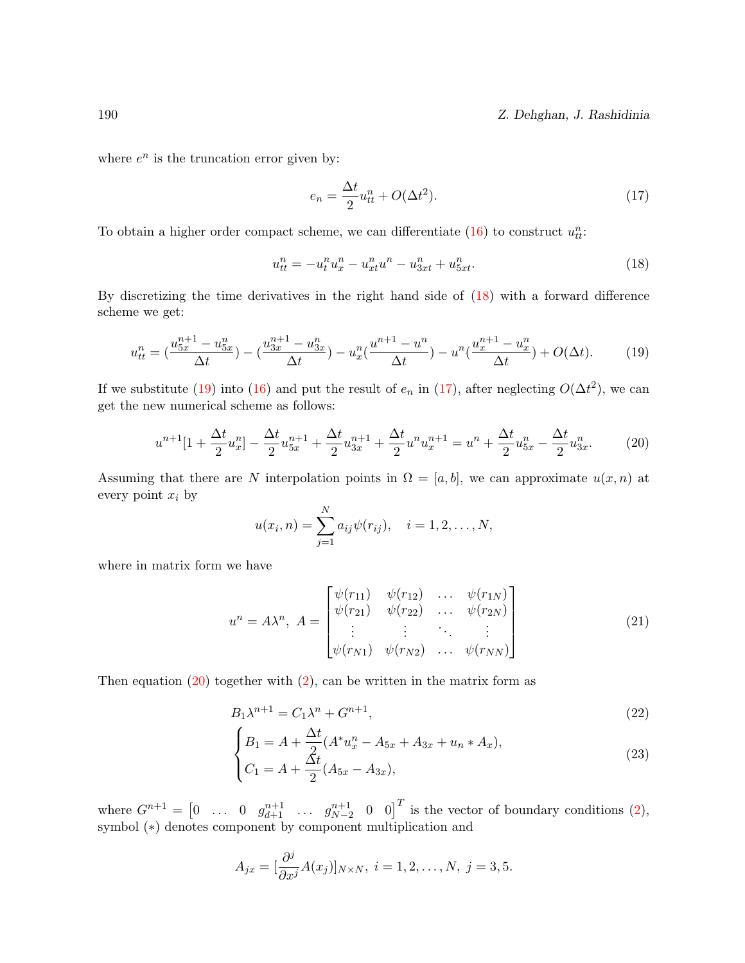#### 190 Z. Dehghan, J. Rashidinia

where  $e^n$  is the truncation error given by:

<span id="page-5-2"></span>
$$
e_n = \frac{\Delta t}{2} u_{tt}^n + O(\Delta t^2). \tag{17}
$$

To obtain a higher order compact scheme, we can differentiate  $(16)$  to construct  $u_{tt}^n$ :

<span id="page-5-0"></span>
$$
u_{tt}^n = -u_t^n u_x^n - u_{xt}^n u^n - u_{3xt}^n + u_{5xt}^n. \tag{18}
$$

By discretizing the time derivatives in the right hand side of [\(18\)](#page-5-0) with a forward difference scheme we get:

<span id="page-5-1"></span>
$$
u_{tt}^{n} = \left(\frac{u_{5x}^{n+1} - u_{5x}^{n}}{\Delta t}\right) - \left(\frac{u_{3x}^{n+1} - u_{3x}^{n}}{\Delta t}\right) - u_{x}^{n}\left(\frac{u_{t}^{n+1} - u_{x}^{n}}{\Delta t}\right) - u_{x}^{n}\left(\frac{u_{t}^{n+1} - u_{x}^{n}}{\Delta t}\right) + O(\Delta t). \tag{19}
$$

If we substitute [\(19\)](#page-5-1) into [\(16\)](#page-4-1) and put the result of  $e_n$  in [\(17\)](#page-5-2), after neglecting  $O(\Delta t^2)$ , we can get the new numerical scheme as follows:

<span id="page-5-3"></span>
$$
u^{n+1}[1 + \frac{\Delta t}{2}u_x^n] - \frac{\Delta t}{2}u_{5x}^{n+1} + \frac{\Delta t}{2}u_{3x}^{n+1} + \frac{\Delta t}{2}u^n u_x^{n+1} = u^n + \frac{\Delta t}{2}u_{5x}^n - \frac{\Delta t}{2}u_{3x}^n. \tag{20}
$$

Assuming that there are N interpolation points in  $\Omega = [a, b]$ , we can approximate  $u(x, n)$  at every point  $x_i$  by

$$
u(x_i, n) = \sum_{j=1}^{N} a_{ij} \psi(r_{ij}), \quad i = 1, 2, ..., N,
$$

where in matrix form we have

$$
u^{n} = A\lambda^{n}, A = \begin{bmatrix} \psi(r_{11}) & \psi(r_{12}) & \dots & \psi(r_{1N}) \\ \psi(r_{21}) & \psi(r_{22}) & \dots & \psi(r_{2N}) \\ \vdots & \vdots & \ddots & \vdots \\ \psi(r_{N1}) & \psi(r_{N2}) & \dots & \psi(r_{NN}) \end{bmatrix}
$$
(21)

Then equation  $(20)$  together with  $(2)$ , can be written in the matrix form as

$$
B_1 \lambda^{n+1} = C_1 \lambda^n + G^{n+1},\tag{22}
$$

<span id="page-5-4"></span>
$$
\begin{cases}\nB_1 = A + \frac{\Delta t}{2} (A^* u_x^n - A_{5x} + A_{3x} + u_n * A_x), \\
C_1 = A + \frac{\Delta t}{2} (A_{5x} - A_{3x}),\n\end{cases}
$$
\n(23)

where  $G^{n+1} = \begin{bmatrix} 0 & \dots & 0 & g_{d+1}^{n+1} & \dots & g_{N-2}^{n+1} & 0 & 0 \end{bmatrix}^T$  is the vector of boundary conditions  $(2)$ , symbol  $(*)$  denotes component by component multiplication and

$$
A_{jx} = \left[\frac{\partial^j}{\partial x^j} A(x_j)\right]_{N \times N}, i = 1, 2, \dots, N, j = 3, 5.
$$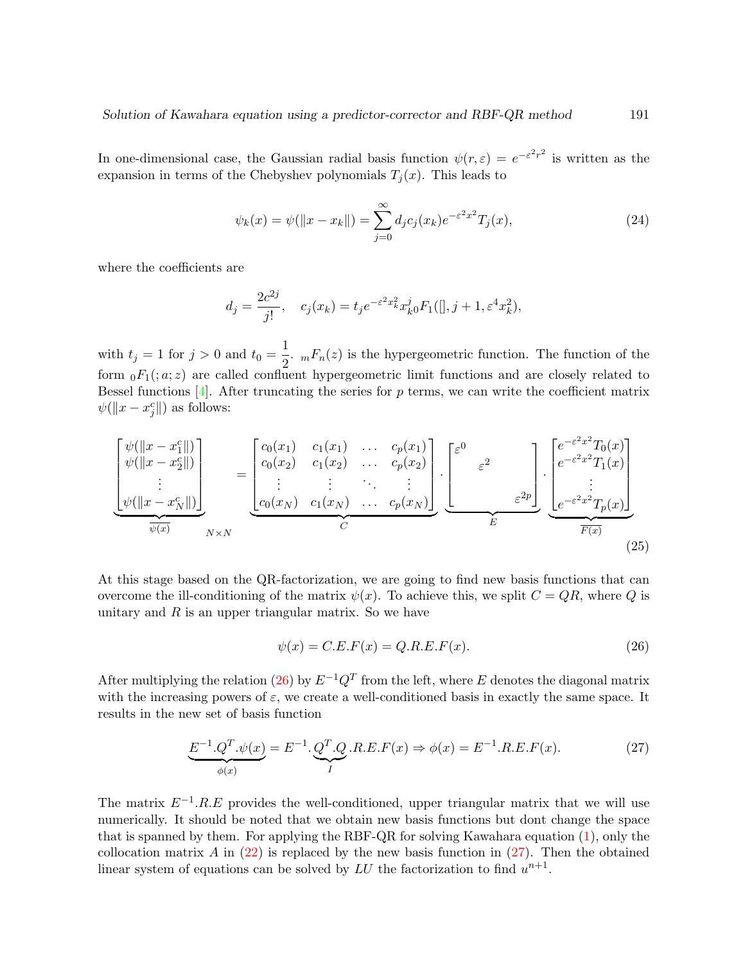In one-dimensional case, the Gaussian radial basis function  $\psi(r,\varepsilon) = e^{-\varepsilon^2 r^2}$  is written as the expansion in terms of the Chebyshev polynomials  $T_i(x)$ . This leads to

$$
\psi_k(x) = \psi(||x - x_k||) = \sum_{j=0}^{\infty} d_j c_j(x_k) e^{-\varepsilon^2 x^2} T_j(x), \tag{24}
$$

where the coefficients are

$$
d_j = \frac{2c^{2j}}{j!},
$$
  $c_j(x_k) = t_j e^{-\varepsilon^2 x_k^2} x_k^j o F_1([\,], j+1, \varepsilon^4 x_k^2),$ 

with  $t_j = 1$  for  $j > 0$  and  $t_0 = \frac{1}{2}$  $\frac{1}{2}$ .  $_mF_n(z)$  is the hypergeometric function. The function of the form  $_0F_1(z, z)$  are called confluent hypergeometric limit functions and are closely related to Bessel functions  $[4]$ . After truncating the series for p terms, we can write the coefficient matrix  $\psi(\Vert x - x_j^c \Vert)$  as follows:

$$
\begin{bmatrix}\n\psi(\|x-x_1^c\|) \\
\psi(\|x-x_2^c\|) \\
\vdots \\
\psi(\|x-x_N^c\|)\n\end{bmatrix}_{N\times N} = \begin{bmatrix}\nc_0(x_1) & c_1(x_1) & \dots & c_p(x_1) \\
c_0(x_2) & c_1(x_2) & \dots & c_p(x_2) \\
\vdots & \vdots & \ddots & \vdots \\
c_0(x_N) & c_1(x_N) & \dots & c_p(x_N)\n\end{bmatrix} \cdot \begin{bmatrix}\n\varepsilon^0 \\
\varepsilon^2 \\
\varepsilon^2 \\
\varepsilon^2\n\end{bmatrix} \cdot \begin{bmatrix}\ne^{-\varepsilon^2 x^2} T_0(x) \\
e^{-\varepsilon^2 x^2} T_1(x) \\
\vdots \\
e^{-\varepsilon^2 x^2} T_p(x)\n\end{bmatrix}
$$
\n(25)

At this stage based on the QR-factorization, we are going to find new basis functions that can overcome the ill-conditioning of the matrix  $\psi(x)$ . To achieve this, we split  $C = QR$ , where Q is unitary and  $R$  is an upper triangular matrix. So we have

<span id="page-6-0"></span>
$$
\psi(x) = C.E.F(x) = Q.R.E.F(x). \tag{26}
$$

After multiplying the relation [\(26\)](#page-6-0) by  $E^{-1}Q^T$  from the left, where E denotes the diagonal matrix with the increasing powers of  $\varepsilon$ , we create a well-conditioned basis in exactly the same space. It results in the new set of basis function

<span id="page-6-1"></span>
$$
\underbrace{E^{-1}.Q^T.\psi(x)}_{\phi(x)} = E^{-1}.\underbrace{Q^T.Q}_I.R.E.F(x) \Rightarrow \phi(x) = E^{-1}.R.E.F(x). \tag{27}
$$

The matrix  $E^{-1}.R.E$  provides the well-conditioned, upper triangular matrix that we will use numerically. It should be noted that we obtain new basis functions but dont change the space that is spanned by them. For applying the RBF-QR for solving Kawahara equation [\(1\)](#page-1-0), only the collocation matrix A in  $(22)$  is replaced by the new basis function in  $(27)$ . Then the obtained linear system of equations can be solved by  $LU$  the factorization to find  $u^{n+1}$ .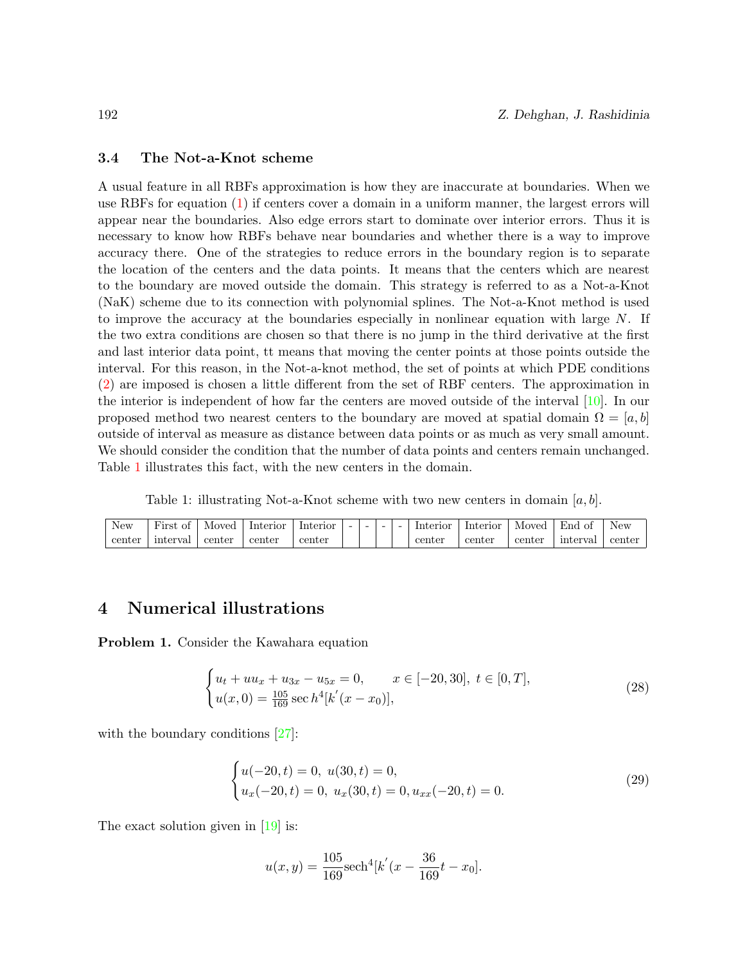#### 3.4 The Not-a-Knot scheme

A usual feature in all RBFs approximation is how they are inaccurate at boundaries. When we use RBFs for equation [\(1\)](#page-1-0) if centers cover a domain in a uniform manner, the largest errors will appear near the boundaries. Also edge errors start to dominate over interior errors. Thus it is necessary to know how RBFs behave near boundaries and whether there is a way to improve accuracy there. One of the strategies to reduce errors in the boundary region is to separate the location of the centers and the data points. It means that the centers which are nearest to the boundary are moved outside the domain. This strategy is referred to as a Not-a-Knot (NaK) scheme due to its connection with polynomial splines. The Not-a-Knot method is used to improve the accuracy at the boundaries especially in nonlinear equation with large  $N$ . If the two extra conditions are chosen so that there is no jump in the third derivative at the first and last interior data point, tt means that moving the center points at those points outside the interval. For this reason, in the Not-a-knot method, the set of points at which PDE conditions [\(2\)](#page-1-1) are imposed is chosen a little different from the set of RBF centers. The approximation in the interior is independent of how far the centers are moved outside of the interval [\[10\]](#page-13-16). In our proposed method two nearest centers to the boundary are moved at spatial domain  $\Omega = [a, b]$ outside of interval as measure as distance between data points or as much as very small amount. We should consider the condition that the number of data points and centers remain unchanged. Table [1](#page-7-1) illustrates this fact, with the new centers in the domain.

Table 1: illustrating Not-a-Knot scheme with two new centers in domain  $[a, b]$ .

<span id="page-7-1"></span>

| New    | <b>TI.</b><br>First<br>ОI | Moved  | Interior | Interior | $-$ | $\overline{\phantom{0}}$ | $\overline{\phantom{0}}$ | - | Interior | Interior | Moved  | End<br>O1 | New    |
|--------|---------------------------|--------|----------|----------|-----|--------------------------|--------------------------|---|----------|----------|--------|-----------|--------|
| center | interval                  | center | center   | center   |     |                          |                          |   | center   | center   | center | interval  | center |

# <span id="page-7-0"></span>4 Numerical illustrations

<span id="page-7-4"></span>Problem 1. Consider the Kawahara equation

<span id="page-7-2"></span>
$$
\begin{cases} u_t + uu_x + u_{3x} - u_{5x} = 0, & x \in [-20, 30], \ t \in [0, T], \\ u(x, 0) = \frac{105}{169} \sec h^4[k'(x - x_0)], \end{cases}
$$
 (28)

with the boundary conditions [\[27\]](#page-14-11):

<span id="page-7-3"></span>
$$
\begin{cases}\nu(-20,t) = 0, \ u(30,t) = 0, \\
u_x(-20,t) = 0, \ u_x(30,t) = 0, \\
u_{xx}(-20,t) = 0.\n\end{cases}
$$
\n(29)

The exact solution given in [\[19\]](#page-13-7) is:

$$
u(x,y) = \frac{105}{169} \text{sech}^4[k'(x - \frac{36}{169}t - x_0].
$$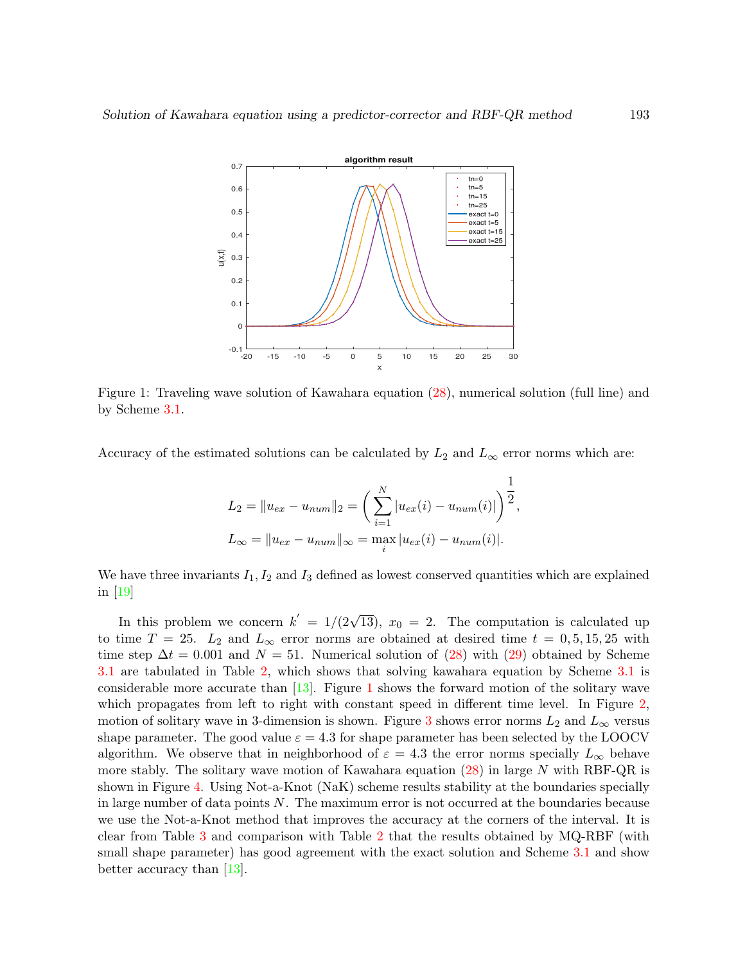<span id="page-8-0"></span>

Figure 1: Traveling wave solution of Kawahara equation [\(28\)](#page-7-2), numerical solution (full line) and by Scheme [3.1.](#page-2-1)

Accuracy of the estimated solutions can be calculated by  $L_2$  and  $L_{\infty}$  error norms which are:

$$
L_2 = ||u_{ex} - u_{num}||_2 = \left(\sum_{i=1}^{N} |u_{ex}(i) - u_{num}(i)|\right)^{\frac{1}{2}},
$$
  

$$
L_{\infty} = ||u_{ex} - u_{num}||_{\infty} = \max_{i} |u_{ex}(i) - u_{num}(i)|.
$$

We have three invariants  $I_1, I_2$  and  $I_3$  defined as lowest conserved quantities which are explained in [\[19\]](#page-13-7)

In this problem we concern  $k' = 1/(2\sqrt{13})$ ,  $x_0 = 2$ . The computation is calculated up to time  $T = 25$ .  $L_2$  and  $L_{\infty}$  error norms are obtained at desired time  $t = 0, 5, 15, 25$  with time step  $\Delta t = 0.001$  and  $N = 51$ . Numerical solution of [\(28\)](#page-7-2) with [\(29\)](#page-7-3) obtained by Scheme [3.1](#page-2-1) are tabulated in Table [2,](#page-9-0) which shows that solving kawahara equation by Scheme [3.1](#page-2-1) is considerable more accurate than  $[13]$ . Figure [1](#page-8-0) shows the forward motion of the solitary wave which propagates from left to right with constant speed in different time level. In Figure [2,](#page-11-0) motion of solitary wave in [3](#page-11-0)-dimension is shown. Figure 3 shows error norms  $L_2$  and  $L_{\infty}$  versus shape parameter. The good value  $\varepsilon = 4.3$  for shape parameter has been selected by the LOOCV algorithm. We observe that in neighborhood of  $\varepsilon = 4.3$  the error norms specially  $L_{\infty}$  behave more stably. The solitary wave motion of Kawahara equation  $(28)$  in large N with RBF-QR is shown in Figure [4.](#page-12-5) Using Not-a-Knot (NaK) scheme results stability at the boundaries specially in large number of data points  $N$ . The maximum error is not occurred at the boundaries because we use the Not-a-Knot method that improves the accuracy at the corners of the interval. It is clear from Table [3](#page-9-0) and comparison with Table [2](#page-9-0) that the results obtained by MQ-RBF (with small shape parameter) has good agreement with the exact solution and Scheme [3.1](#page-2-1) and show better accuracy than [\[13\]](#page-13-10).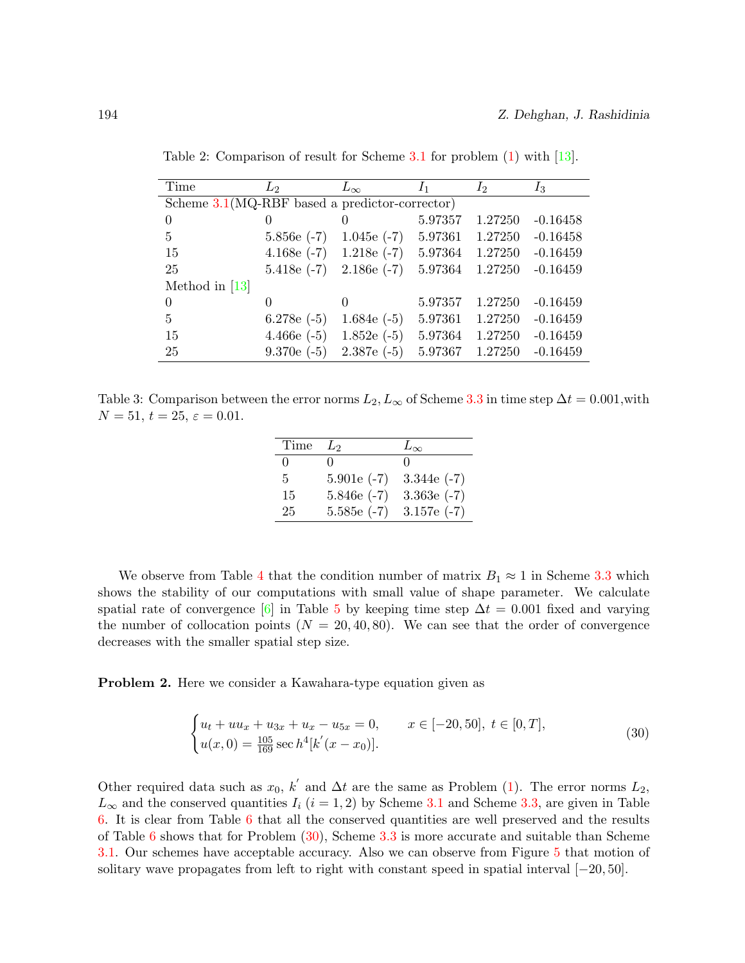| Time                                             | L2            | $L_{\infty}$     | I <sub>1</sub> | $I_2$   | $I_3$      |  |
|--------------------------------------------------|---------------|------------------|----------------|---------|------------|--|
| Scheme $3.1(MQ-RBF$ based a predictor-corrector) |               |                  |                |         |            |  |
| $\Omega$                                         | 0             |                  | 5.97357        | 1.27250 | $-0.16458$ |  |
| $\frac{5}{2}$                                    | $5.856e(-7)$  | $1.045e(-7)$     | 5.97361        | 1.27250 | $-0.16458$ |  |
| 15                                               | 4.168 $e(-7)$ | $1.218e(-7)$     | 5.97364        | 1.27250 | $-0.16459$ |  |
| 25                                               | $5.418e(-7)$  | $2.186e(-7)$     | 5.97364        | 1.27250 | $-0.16459$ |  |
| Method in $[13]$                                 |               |                  |                |         |            |  |
| $\Omega$                                         | 0             | $\left( \right)$ | 5.97357        | 1.27250 | $-0.16459$ |  |
| 5                                                | 6.278 $e(-5)$ | 1.684 $e(-5)$    | 5.97361        | 1.27250 | $-0.16459$ |  |
| 15                                               | $4.466e(-5)$  | $1.852e(-5)$     | 5.97364        | 1.27250 | $-0.16459$ |  |
| 25                                               | $9.370e(-5)$  | $2.387e(-5)$     | 5.97367        | 1.27250 | $-0.16459$ |  |

<span id="page-9-0"></span>Table 2: Comparison of result for Scheme [3.1](#page-2-1) for problem [\(1\)](#page-7-4) with [\[13\]](#page-13-10).

Table 3: Comparison between the error norms  $L_2, L_\infty$  of Scheme [3.3](#page-4-2) in time step  $\Delta t = 0.001$ , with  $N = 51, t = 25, \varepsilon = 0.01.$ 

| Time         | $\mathcal{L}_{2}$ | $L_{\infty}$  |
|--------------|-------------------|---------------|
| $\mathbf{0}$ | $^{\circ}$        | $\mathbf{0}$  |
| 5.           | $5.901e(-7)$      | 3.344 $e(-7)$ |
| 15           | $5.846e(-7)$      | $3.363e(-7)$  |
| 25           | $5.585e(-7)$      | 3.157 $e(-7)$ |

We observe from Table [4](#page-10-0) that the condition number of matrix  $B_1 \approx 1$  in Scheme [3.3](#page-4-2) which shows the stability of our computations with small value of shape parameter. We calculate spatial rate of convergence [\[6\]](#page-13-3) in Table [5](#page-10-1) by keeping time step  $\Delta t = 0.001$  fixed and varying the number of collocation points  $(N = 20, 40, 80)$ . We can see that the order of convergence decreases with the smaller spatial step size.

<span id="page-9-2"></span>Problem 2. Here we consider a Kawahara-type equation given as

<span id="page-9-1"></span>
$$
\begin{cases} u_t + uu_x + u_{3x} + u_x - u_{5x} = 0, & x \in [-20, 50], \ t \in [0, T], \\ u(x, 0) = \frac{105}{169} \sec h^4[k'(x - x_0)]. \end{cases}
$$
(30)

Other required data such as  $x_0$ ,  $k'$  and  $\Delta t$  are the same as Problem [\(1\)](#page-7-4). The error norms  $L_2$ ,  $L_{\infty}$  and the conserved quantities  $I_i$  (i = 1, 2) by Scheme [3.1](#page-2-1) and Scheme [3.3,](#page-4-2) are given in Table [6.](#page-10-2) It is clear from Table [6](#page-10-2) that all the conserved quantities are well preserved and the results of Table [6](#page-10-2) shows that for Problem [\(30\)](#page-9-1), Scheme [3.3](#page-4-2) is more accurate and suitable than Scheme [3.1.](#page-2-1) Our schemes have acceptable accuracy. Also we can observe from Figure [5](#page-12-6) that motion of solitary wave propagates from left to right with constant speed in spatial interval [−20, 50].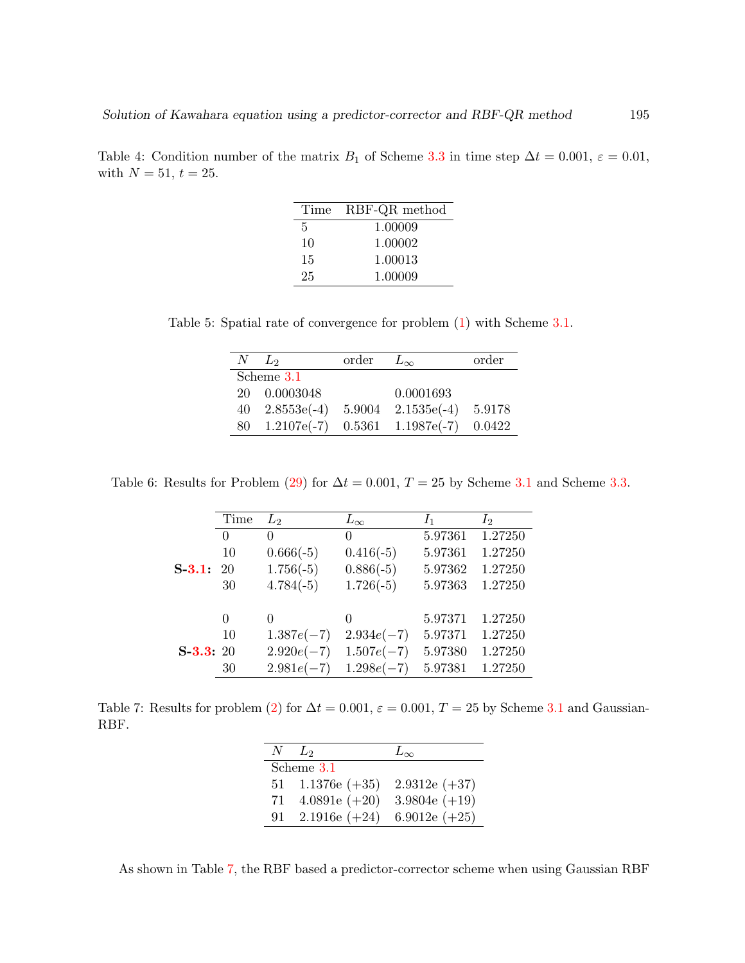<span id="page-10-0"></span>Table 4: Condition number of the matrix  $B_1$  of Scheme [3.3](#page-4-2) in time step  $\Delta t = 0.001$ ,  $\varepsilon = 0.01$ , with  $N = 51, t = 25$ .

| Time | RBF-QR method |
|------|---------------|
| 5    | 1.00009       |
| 10   | 1.00002       |
| 15   | 1.00013       |
| 25   | 1.00009       |
|      |               |

<span id="page-10-1"></span>Table 5: Spatial rate of convergence for problem [\(1\)](#page-7-4) with Scheme [3.1.](#page-2-1)

| $N$ $L_2$              | order $L_{\infty}$ |                        | order  |
|------------------------|--------------------|------------------------|--------|
| Scheme 3.1             |                    |                        |        |
| 20  0.0003048          |                    | 0.0001693              |        |
| $40 \quad 2.8553e(-4)$ |                    | $5.9004$ $2.1535e(-4)$ | 5.9178 |
| $80 \quad 1.2107e(-7)$ |                    | $0.5361$ $1.1987e(-7)$ | 0.0422 |

<span id="page-10-2"></span>Table 6: Results for Problem [\(29\)](#page-7-3) for  $\Delta t = 0.001$ ,  $T = 25$  by Scheme [3.1](#page-2-1) and Scheme [3.3.](#page-4-2)

| 1.27250<br>1.27250 |
|--------------------|
|                    |
|                    |
|                    |
| 1.27250            |
| 1.27250            |
|                    |
| 1.27250            |
| 1.27250            |
| 1.27250            |
| 1.27250            |
|                    |

Table 7: Results for problem [\(2\)](#page-9-2) for  $\Delta t = 0.001$ ,  $\varepsilon = 0.001$ ,  $T = 25$  by Scheme [3.1](#page-2-1) and Gaussian-RBF.

| N   | $\mathcal{L}_2$    | $L_{\infty}$     |
|-----|--------------------|------------------|
|     | Scheme 3.1         |                  |
|     | 51 1.1376e $(+35)$ | $2.9312e (+37)$  |
| 71  | 4.0891e $(+20)$    | 3.9804 $e (+19)$ |
| 91. | $2.1916e (+24)$    | 6.9012e $(+25)$  |

As shown in Table [7,](#page-10-2) the RBF based a predictor-corrector scheme when using Gaussian RBF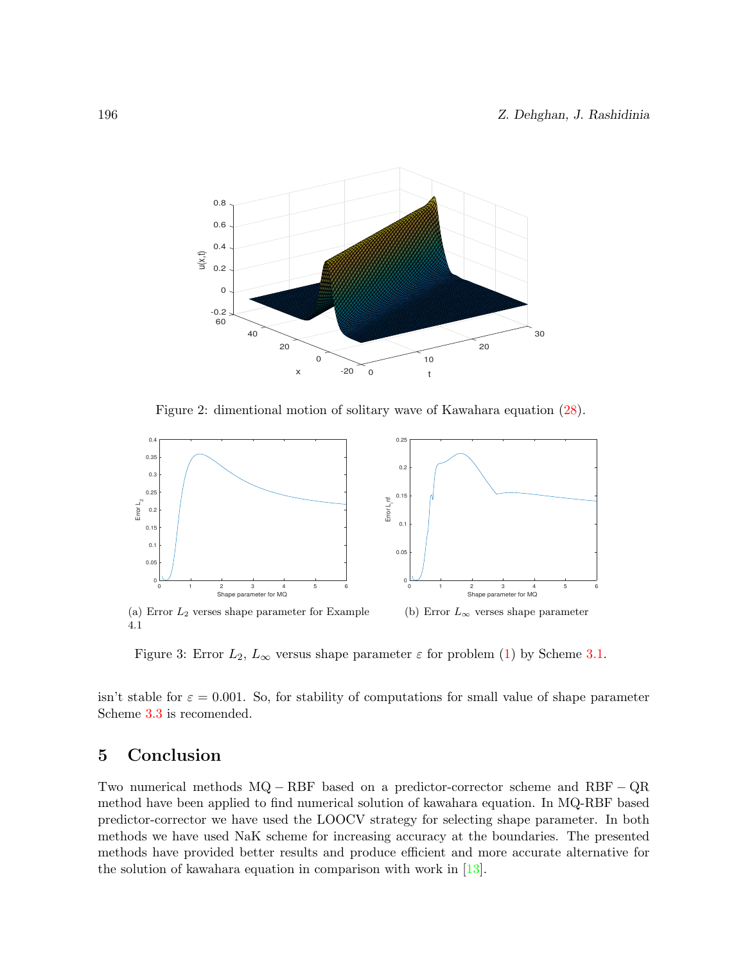<span id="page-11-0"></span>

Figure 2: dimentional motion of solitary wave of Kawahara equation [\(28\)](#page-7-2).



Figure 3: Error  $L_2$ ,  $L_{\infty}$  versus shape parameter  $\varepsilon$  for problem [\(1\)](#page-7-4) by Scheme [3.1.](#page-2-1)

isn't stable for  $\varepsilon = 0.001$ . So, for stability of computations for small value of shape parameter Scheme [3.3](#page-4-2) is recomended.

# 5 Conclusion

Two numerical methods MQ − RBF based on a predictor-corrector scheme and RBF − QR method have been applied to find numerical solution of kawahara equation. In MQ-RBF based predictor-corrector we have used the LOOCV strategy for selecting shape parameter. In both methods we have used NaK scheme for increasing accuracy at the boundaries. The presented methods have provided better results and produce efficient and more accurate alternative for the solution of kawahara equation in comparison with work in [\[13\]](#page-13-10).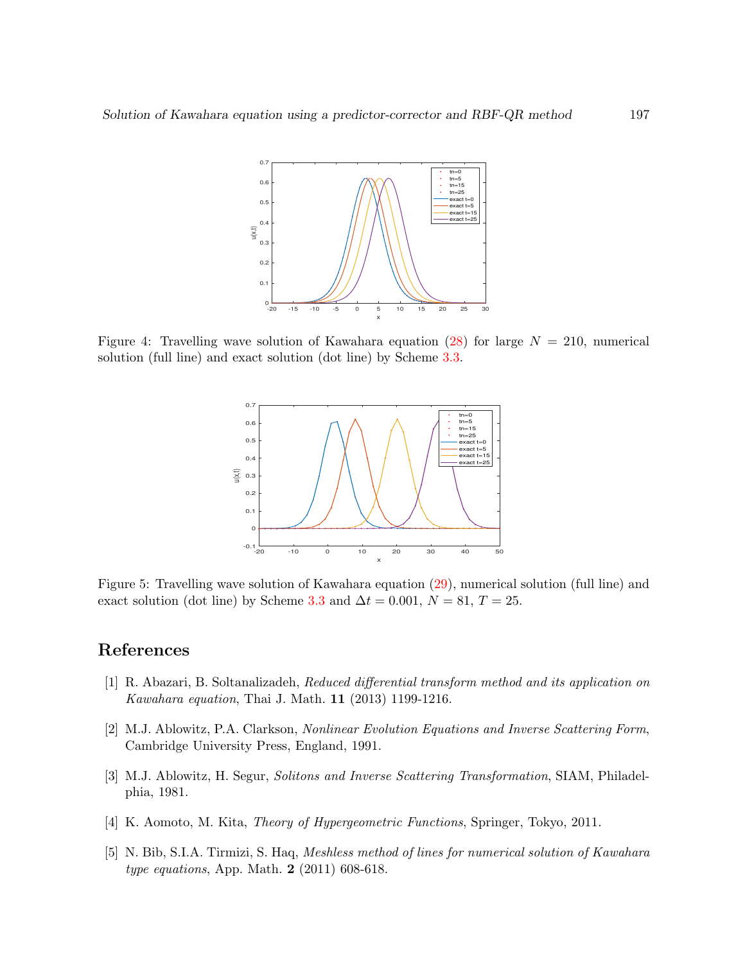<span id="page-12-5"></span>

<span id="page-12-6"></span>Figure 4: Travelling wave solution of Kawahara equation [\(28\)](#page-7-2) for large  $N = 210$ , numerical solution (full line) and exact solution (dot line) by Scheme [3.3.](#page-4-2)



Figure 5: Travelling wave solution of Kawahara equation [\(29\)](#page-7-3), numerical solution (full line) and exact solution (dot line) by Scheme [3.3](#page-4-2) and  $\Delta t = 0.001, N = 81, T = 25$ .

# References

- <span id="page-12-2"></span>[1] R. Abazari, B. Soltanalizadeh, Reduced differential transform method and its application on Kawahara equation, Thai J. Math. 11 (2013) 1199-1216.
- <span id="page-12-0"></span>[2] M.J. Ablowitz, P.A. Clarkson, Nonlinear Evolution Equations and Inverse Scattering Form, Cambridge University Press, England, 1991.
- <span id="page-12-1"></span>[3] M.J. Ablowitz, H. Segur, Solitons and Inverse Scattering Transformation, SIAM, Philadelphia, 1981.
- <span id="page-12-4"></span>[4] K. Aomoto, M. Kita, Theory of Hypergeometric Functions, Springer, Tokyo, 2011.
- <span id="page-12-3"></span>[5] N. Bib, S.I.A. Tirmizi, S. Haq, Meshless method of lines for numerical solution of Kawahara type equations, App. Math. 2 (2011) 608-618.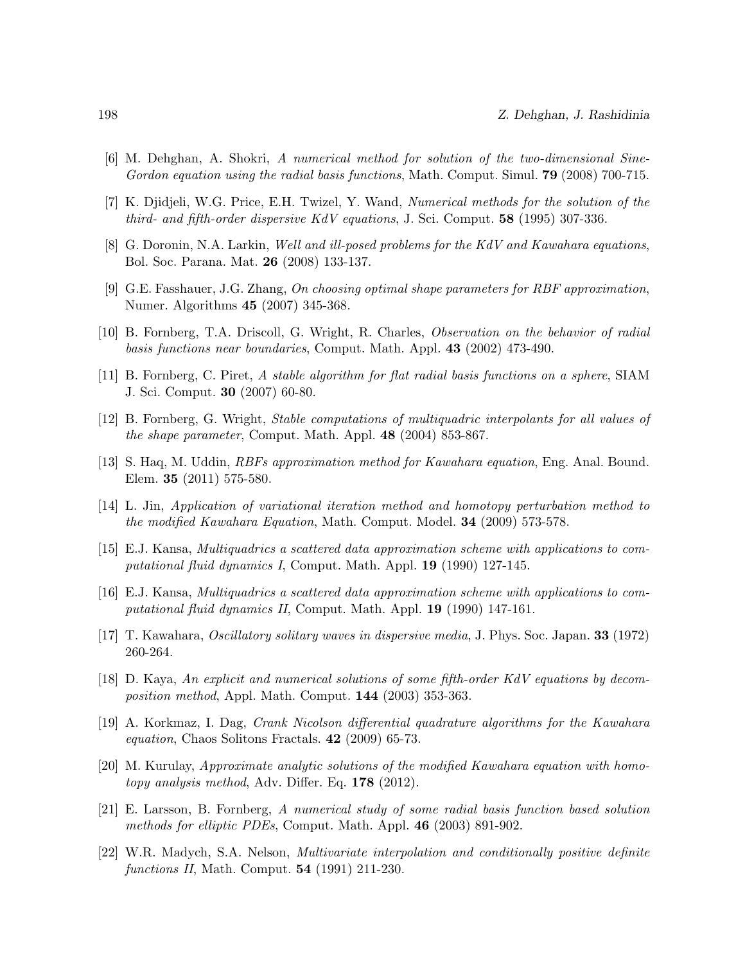- <span id="page-13-3"></span>[6] M. Dehghan, A. Shokri, A numerical method for solution of the two-dimensional Sine-Gordon equation using the radial basis functions, Math. Comput. Simul. **79** (2008) 700-715.
- <span id="page-13-9"></span>[7] K. Djidjeli, W.G. Price, E.H. Twizel, Y. Wand, Numerical methods for the solution of the third- and fifth-order dispersive KdV equations, J. Sci. Comput. 58 (1995) 307-336.
- <span id="page-13-11"></span>[8] G. Doronin, N.A. Larkin, Well and ill-posed problems for the KdV and Kawahara equations, Bol. Soc. Parana. Mat. 26 (2008) 133-137.
- <span id="page-13-13"></span>[9] G.E. Fasshauer, J.G. Zhang, On choosing optimal shape parameters for RBF approximation, Numer. Algorithms 45 (2007) 345-368.
- <span id="page-13-16"></span>[10] B. Fornberg, T.A. Driscoll, G. Wright, R. Charles, Observation on the behavior of radial basis functions near boundaries, Comput. Math. Appl. 43 (2002) 473-490.
- <span id="page-13-14"></span>[11] B. Fornberg, C. Piret, A stable algorithm for flat radial basis functions on a sphere, SIAM J. Sci. Comput. 30 (2007) 60-80.
- <span id="page-13-15"></span>[12] B. Fornberg, G. Wright, Stable computations of multiquadric interpolants for all values of the shape parameter, Comput. Math. Appl. 48 (2004) 853-867.
- <span id="page-13-10"></span>[13] S. Haq, M. Uddin, RBFs approximation method for Kawahara equation, Eng. Anal. Bound. Elem. 35 (2011) 575-580.
- <span id="page-13-6"></span>[14] L. Jin, Application of variational iteration method and homotopy perturbation method to the modified Kawahara Equation, Math. Comput. Model. **34** (2009) 573-578.
- <span id="page-13-1"></span>[15] E.J. Kansa, Multiquadrics a scattered data approximation scheme with applications to computational fluid dynamics I, Comput. Math. Appl. 19 (1990) 127-145.
- <span id="page-13-2"></span>[16] E.J. Kansa, Multiquadrics a scattered data approximation scheme with applications to computational fluid dynamics II, Comput. Math. Appl. 19 (1990) 147-161.
- <span id="page-13-4"></span>[17] T. Kawahara, Oscillatory solitary waves in dispersive media, J. Phys. Soc. Japan. 33 (1972) 260-264.
- <span id="page-13-5"></span>[18] D. Kaya, An explicit and numerical solutions of some fifth-order KdV equations by decomposition method, Appl. Math. Comput. 144 (2003) 353-363.
- <span id="page-13-7"></span>[19] A. Korkmaz, I. Dag, Crank Nicolson differential quadrature algorithms for the Kawahara equation, Chaos Solitons Fractals. 42 (2009) 65-73.
- <span id="page-13-8"></span>[20] M. Kurulay, Approximate analytic solutions of the modified Kawahara equation with homotopy analysis method, Adv. Differ. Eq. 178 (2012).
- <span id="page-13-0"></span>[21] E. Larsson, B. Fornberg, A numerical study of some radial basis function based solution methods for elliptic PDEs, Comput. Math. Appl. 46 (2003) 891-902.
- <span id="page-13-12"></span>[22] W.R. Madych, S.A. Nelson, Multivariate interpolation and conditionally positive definite functions II, Math. Comput. 54 (1991) 211-230.